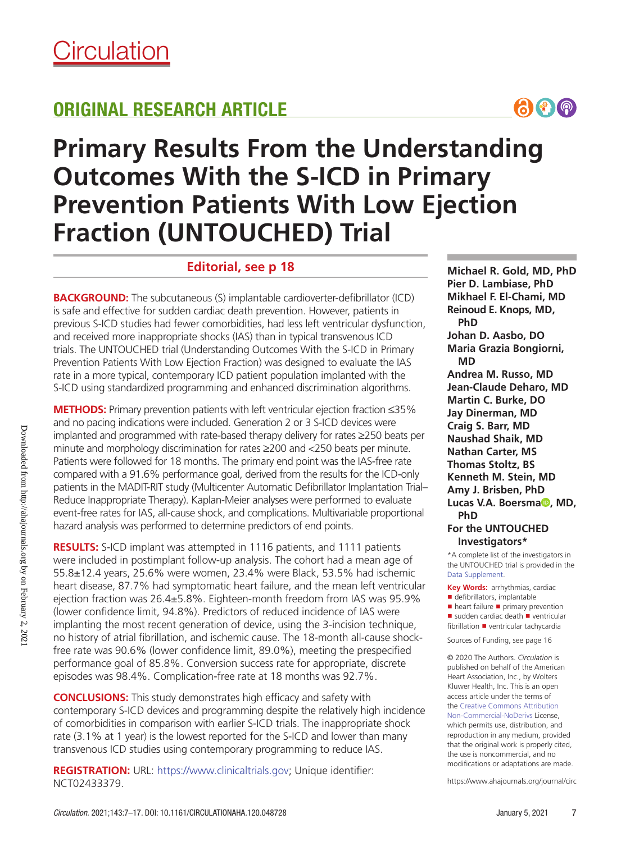# ORIGINAL RESEARCH ARTICLE



# **Primary Results From the Understanding Outcomes With the S-ICD in Primary Prevention Patients With Low Ejection Fraction (UNTOUCHED) Trial**

# **Editorial, see p 18**

**BACKGROUND:** The subcutaneous (S) implantable cardioverter-defibrillator (ICD) is safe and effective for sudden cardiac death prevention. However, patients in previous S-ICD studies had fewer comorbidities, had less left ventricular dysfunction, and received more inappropriate shocks (IAS) than in typical transvenous ICD trials. The UNTOUCHED trial (Understanding Outcomes With the S-ICD in Primary Prevention Patients With Low Ejection Fraction) was designed to evaluate the IAS rate in a more typical, contemporary ICD patient population implanted with the S-ICD using standardized programming and enhanced discrimination algorithms.

**METHODS:** Primary prevention patients with left ventricular ejection fraction ≤35% and no pacing indications were included. Generation 2 or 3 S-ICD devices were implanted and programmed with rate-based therapy delivery for rates ≥250 beats per minute and morphology discrimination for rates ≥200 and <250 beats per minute. Patients were followed for 18 months. The primary end point was the IAS-free rate compared with a 91.6% performance goal, derived from the results for the ICD-only patients in the MADIT-RIT study (Multicenter Automatic Defibrillator Implantation Trial– Reduce Inappropriate Therapy). Kaplan-Meier analyses were performed to evaluate event-free rates for IAS, all-cause shock, and complications. Multivariable proportional hazard analysis was performed to determine predictors of end points.

**RESULTS:** S-ICD implant was attempted in 1116 patients, and 1111 patients were included in postimplant follow-up analysis. The cohort had a mean age of 55.8±12.4 years, 25.6% were women, 23.4% were Black, 53.5% had ischemic heart disease, 87.7% had symptomatic heart failure, and the mean left ventricular ejection fraction was 26.4±5.8%. Eighteen-month freedom from IAS was 95.9% (lower confidence limit, 94.8%). Predictors of reduced incidence of IAS were implanting the most recent generation of device, using the 3-incision technique, no history of atrial fibrillation, and ischemic cause. The 18-month all-cause shockfree rate was 90.6% (lower confidence limit, 89.0%), meeting the prespecified performance goal of 85.8%. Conversion success rate for appropriate, discrete episodes was 98.4%. Complication-free rate at 18 months was 92.7%.

**CONCLUSIONS:** This study demonstrates high efficacy and safety with contemporary S-ICD devices and programming despite the relatively high incidence of comorbidities in comparison with earlier S-ICD trials. The inappropriate shock rate (3.1% at 1 year) is the lowest reported for the S-ICD and lower than many transvenous ICD studies using contemporary programming to reduce IAS.

**REGISTRATION:** URL: https://www.clinicaltrials.gov; Unique identifier: NCT02433379.

**Michael R. Gold, MD, PhD Pier D. Lambiase, PhD Mikhael F. El-Chami, MD Reinoud E. Knops, MD, PhD Johan D. Aasbo, DO Maria Grazia Bongiorni, MD Andrea M. Russo, MD Jean-Claude Deharo, MD Martin C. Burke, DO Jay Dinerman, MD Craig S. Barr, MD Naushad Shaik, MD Nathan Carter, MS Thomas Stoltz, BS Kenneth M. Stein, MD Amy J. Brisben, PhD Lucas V.A. Boersma<sup>®</sup>[,](https://orcid.org/0000-0003-4591-4220) MD, PhD**

### **For the UNTOUCHED Investigators\***

\*A complete list of the investigators in the UNTOUCHED trial is provided in the Data Supplement.

**Key Words:** arrhythmias, cardiac ■ defibrillators, implantable

■ heart failure ■ primary prevention ■ sudden cardiac death ■ ventricular fibrillation ◼ ventricular tachycardia

Sources of Funding, see page 16

© 2020 The Authors. *Circulation* is published on behalf of the American Heart Association, Inc., by Wolters Kluwer Health, Inc. This is an open access article under the terms of the Creative Commons Attribution Non-Commercial-NoDerivs License, which permits use, distribution, and reproduction in any medium, provided that the original work is properly cited, the use is noncommercial, and no modifications or adaptations are made.

https://www.ahajournals.org/journal/circ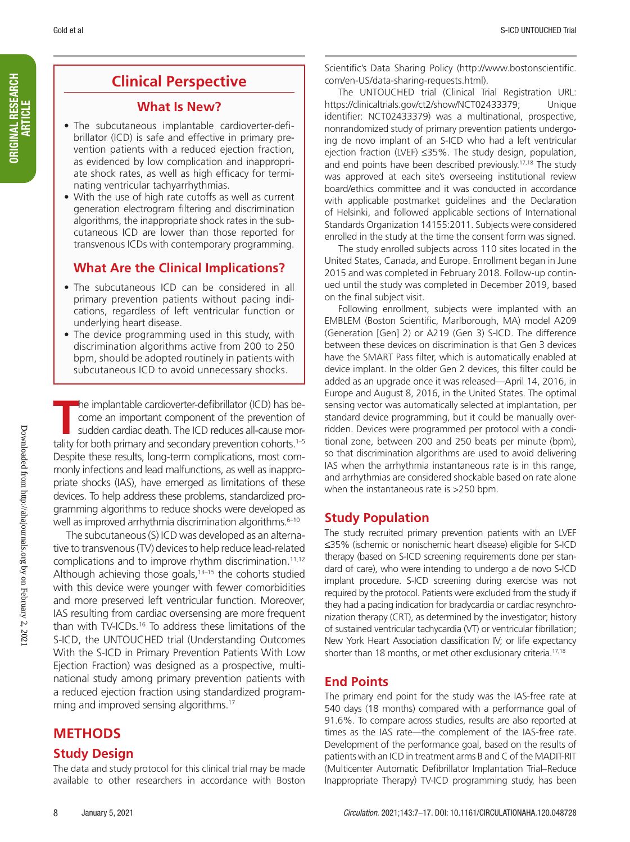ORIGINAL RESEARCH ORIGINAL RESEARCH<br>Article

# **Clinical Perspective**

### **What Is New?**

- The subcutaneous implantable cardioverter-defibrillator (ICD) is safe and effective in primary prevention patients with a reduced ejection fraction, as evidenced by low complication and inappropriate shock rates, as well as high efficacy for terminating ventricular tachyarrhythmias.
- With the use of high rate cutoffs as well as current generation electrogram filtering and discrimination algorithms, the inappropriate shock rates in the subcutaneous ICD are lower than those reported for transvenous ICDs with contemporary programming.

# **What Are the Clinical Implications?**

- The subcutaneous ICD can be considered in all primary prevention patients without pacing indications, regardless of left ventricular function or underlying heart disease.
- The device programming used in this study, with discrimination algorithms active from 200 to 250 bpm, should be adopted routinely in patients with subcutaneous ICD to avoid unnecessary shocks.

The implantable cardioverter-defibrillator (ICD) has become an important component of the prevention of sudden cardiac death. The ICD reduces all-cause mortality for both primary and secondary prevention cohorts.<sup>1–5</sup> he implantable cardioverter-defibrillator (ICD) has become an important component of the prevention of sudden cardiac death. The ICD reduces all-cause mor-Despite these results, long-term complications, most commonly infections and lead malfunctions, as well as inappropriate shocks (IAS), have emerged as limitations of these devices. To help address these problems, standardized programming algorithms to reduce shocks were developed as well as improved arrhythmia discrimination algorithms.<sup>6-10</sup>

The subcutaneous (S) ICD was developed as an alternative to transvenous (TV) devices to help reduce lead-related complications and to improve rhythm discrimination.<sup>11,12</sup> Although achieving those goals, $13-15$  the cohorts studied with this device were younger with fewer comorbidities and more preserved left ventricular function. Moreover, IAS resulting from cardiac oversensing are more frequent than with TV-ICDs.16 To address these limitations of the S-ICD, the UNTOUCHED trial (Understanding Outcomes With the S-ICD in Primary Prevention Patients With Low Ejection Fraction) was designed as a prospective, multinational study among primary prevention patients with a reduced ejection fraction using standardized programming and improved sensing algorithms.<sup>17</sup>

# **METHODS**

### **Study Design**

The data and study protocol for this clinical trial may be made available to other researchers in accordance with Boston

Scientific's Data Sharing Policy (http://www.bostonscientific. com/en-US/data-sharing-requests.html).

The UNTOUCHED trial (Clinical Trial Registration URL: https://clinicaltrials.gov/ct2/show/NCT02433379; Unique identifier: NCT02433379) was a multinational, prospective, nonrandomized study of primary prevention patients undergoing de novo implant of an S-ICD who had a left ventricular ejection fraction (LVEF) ≤35%. The study design, population, and end points have been described previously.<sup>17,18</sup> The study was approved at each site's overseeing institutional review board/ethics committee and it was conducted in accordance with applicable postmarket guidelines and the Declaration of Helsinki, and followed applicable sections of International Standards Organization 14155:2011. Subjects were considered enrolled in the study at the time the consent form was signed.

The study enrolled subjects across 110 sites located in the United States, Canada, and Europe. Enrollment began in June 2015 and was completed in February 2018. Follow-up continued until the study was completed in December 2019, based on the final subject visit.

Following enrollment, subjects were implanted with an EMBLEM (Boston Scientific, Marlborough, MA) model A209 (Generation [Gen] 2) or A219 (Gen 3) S-ICD. The difference between these devices on discrimination is that Gen 3 devices have the SMART Pass filter, which is automatically enabled at device implant. In the older Gen 2 devices, this filter could be added as an upgrade once it was released—April 14, 2016, in Europe and August 8, 2016, in the United States. The optimal sensing vector was automatically selected at implantation, per standard device programming, but it could be manually overridden. Devices were programmed per protocol with a conditional zone, between 200 and 250 beats per minute (bpm), so that discrimination algorithms are used to avoid delivering IAS when the arrhythmia instantaneous rate is in this range, and arrhythmias are considered shockable based on rate alone when the instantaneous rate is >250 bpm.

# **Study Population**

The study recruited primary prevention patients with an LVEF ≤35% (ischemic or nonischemic heart disease) eligible for S-ICD therapy (based on S-ICD screening requirements done per standard of care), who were intending to undergo a de novo S-ICD implant procedure. S-ICD screening during exercise was not required by the protocol. Patients were excluded from the study if they had a pacing indication for bradycardia or cardiac resynchronization therapy (CRT), as determined by the investigator; history of sustained ventricular tachycardia (VT) or ventricular fibrillation; New York Heart Association classification IV; or life expectancy shorter than 18 months, or met other exclusionary criteria.<sup>17,18</sup>

# **End Points**

The primary end point for the study was the IAS-free rate at 540 days (18 months) compared with a performance goal of 91.6%. To compare across studies, results are also reported at times as the IAS rate—the complement of the IAS-free rate. Development of the performance goal, based on the results of patients with an ICD in treatment arms B and C of the MADIT-RIT (Multicenter Automatic Defibrillator Implantation Trial–Reduce Inappropriate Therapy) TV-ICD programming study, has been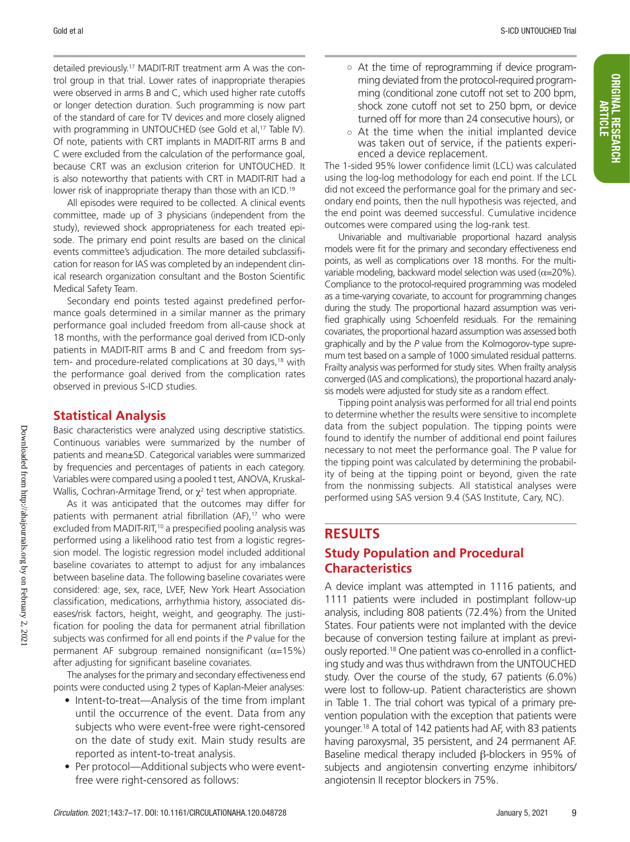detailed previously.17 MADIT-RIT treatment arm A was the control group in that trial. Lower rates of inappropriate therapies were observed in arms B and C, which used higher rate cutoffs or longer detection duration. Such programming is now part of the standard of care for TV devices and more closely aligned with programming in UNTOUCHED (see Gold et al,<sup>17</sup> Table IV). Of note, patients with CRT implants in MADIT-RIT arms B and C were excluded from the calculation of the performance goal, because CRT was an exclusion criterion for UNTOUCHED. It is also noteworthy that patients with CRT in MADIT-RIT had a lower risk of inappropriate therapy than those with an ICD.<sup>19</sup>

All episodes were required to be collected. A clinical events committee, made up of 3 physicians (independent from the study), reviewed shock appropriateness for each treated episode. The primary end point results are based on the clinical events committee's adjudication. The more detailed subclassification for reason for IAS was completed by an independent clinical research organization consultant and the Boston Scientific Medical Safety Team.

Secondary end points tested against predefined performance goals determined in a similar manner as the primary performance goal included freedom from all-cause shock at 18 months, with the performance goal derived from ICD-only patients in MADIT-RIT arms B and C and freedom from system- and procedure-related complications at 30 days,<sup>18</sup> with the performance goal derived from the complication rates observed in previous S-ICD studies.

# **Statistical Analysis**

Basic characteristics were analyzed using descriptive statistics. Continuous variables were summarized by the number of patients and mean±SD. Categorical variables were summarized by frequencies and percentages of patients in each category. Variables were compared using a pooled t test, ANOVA, Kruskal-Wallis, Cochran-Armitage Trend, or  $\chi^2$  test when appropriate.

As it was anticipated that the outcomes may differ for patients with permanent atrial fibrillation (AF),<sup>17</sup> who were excluded from MADIT-RIT,<sup>10</sup> a prespecified pooling analysis was performed using a likelihood ratio test from a logistic regression model. The logistic regression model included additional baseline covariates to attempt to adjust for any imbalances between baseline data. The following baseline covariates were considered: age, sex, race, LVEF, New York Heart Association classification, medications, arrhythmia history, associated diseases/risk factors, height, weight, and geography. The justification for pooling the data for permanent atrial fibrillation subjects was confirmed for all end points if the *P* value for the permanent AF subgroup remained nonsignificant  $(\alpha=15\%)$ after adjusting for significant baseline covariates.

The analyses for the primary and secondary effectiveness end points were conducted using 2 types of Kaplan-Meier analyses:

- Intent-to-treat—Analysis of the time from implant until the occurrence of the event. Data from any subjects who were event-free were right-censored on the date of study exit. Main study results are reported as intent-to-treat analysis.
- Per protocol—Additional subjects who were eventfree were right-censored as follows:
- At the time of reprogramming if device programming deviated from the protocol-required programming (conditional zone cutoff not set to 200 bpm, shock zone cutoff not set to 250 bpm, or device turned off for more than 24 consecutive hours), or
- At the time when the initial implanted device was taken out of service, if the patients experienced a device replacement.

The 1-sided 95% lower confidence limit (LCL) was calculated using the log-log methodology for each end point. If the LCL did not exceed the performance goal for the primary and secondary end points, then the null hypothesis was rejected, and the end point was deemed successful. Cumulative incidence outcomes were compared using the log-rank test.

Univariable and multivariable proportional hazard analysis models were fit for the primary and secondary effectiveness end points, as well as complications over 18 months. For the multivariable modeling, backward model selection was used  $(\alpha=20\%)$ . Compliance to the protocol-required programming was modeled as a time-varying covariate, to account for programming changes during the study. The proportional hazard assumption was verified graphically using Schoenfeld residuals. For the remaining covariates, the proportional hazard assumption was assessed both graphically and by the *P* value from the Kolmogorov-type supremum test based on a sample of 1000 simulated residual patterns. Frailty analysis was performed for study sites. When frailty analysis converged (IAS and complications), the proportional hazard analysis models were adjusted for study site as a random effect.

Tipping point analysis was performed for all trial end points to determine whether the results were sensitive to incomplete data from the subject population. The tipping points were found to identify the number of additional end point failures necessary to not meet the performance goal. The P value for the tipping point was calculated by determining the probability of being at the tipping point or beyond, given the rate from the nonmissing subjects. All statistical analyses were performed using SAS version 9.4 (SAS Institute, Cary, NC).

# **RESULTS**

# **Study Population and Procedural Characteristics**

A device implant was attempted in 1116 patients, and 1111 patients were included in postimplant follow-up analysis, including 808 patients (72.4%) from the United States. Four patients were not implanted with the device because of conversion testing failure at implant as previously reported.<sup>18</sup> One patient was co-enrolled in a conflicting study and was thus withdrawn from the UNTOUCHED study. Over the course of the study, 67 patients (6.0%) were lost to follow-up. Patient characteristics are shown in Table 1. The trial cohort was typical of a primary prevention population with the exception that patients were younger.18 A total of 142 patients had AF, with 83 patients having paroxysmal, 35 persistent, and 24 permanent AF. Baseline medical therapy included β-blockers in 95% of subjects and angiotensin converting enzyme inhibitors/ angiotensin II receptor blockers in 75%.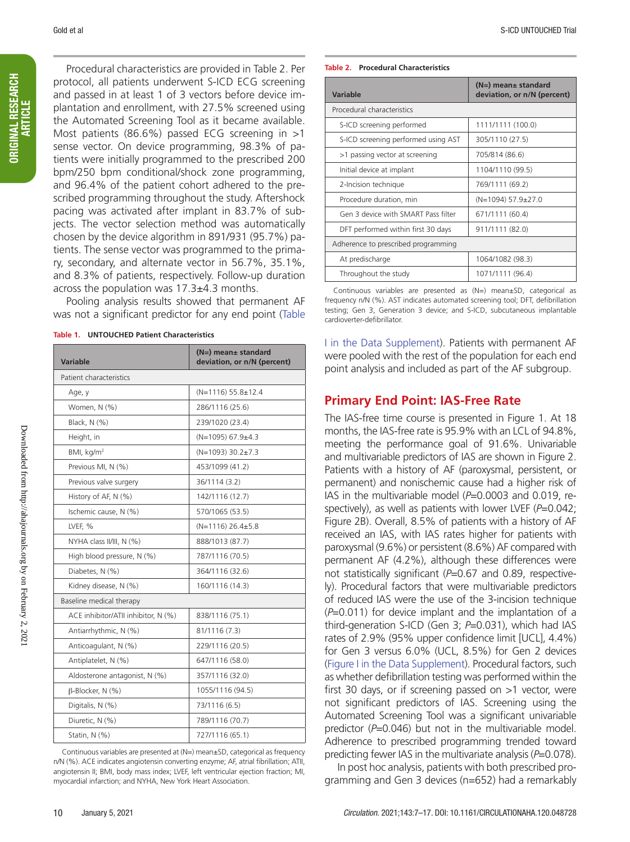Procedural characteristics are provided in Table 2. Per protocol, all patients underwent S-ICD ECG screening and passed in at least 1 of 3 vectors before device implantation and enrollment, with 27.5% screened using the Automated Screening Tool as it became available. Most patients (86.6%) passed ECG screening in >1 sense vector. On device programming, 98.3% of patients were initially programmed to the prescribed 200 bpm/250 bpm conditional/shock zone programming, and 96.4% of the patient cohort adhered to the prescribed programming throughout the study. Aftershock pacing was activated after implant in 83.7% of subjects. The vector selection method was automatically chosen by the device algorithm in 891/931 (95.7%) patients. The sense vector was programmed to the primary, secondary, and alternate vector in 56.7%, 35.1%, and 8.3% of patients, respectively. Follow-up duration across the population was  $17.3\pm4.3$  months.

Pooling analysis results showed that permanent AF was not a significant predictor for any end point (Table

**Table 1. UNTOUCHED Patient Characteristics**

| <b>Variable</b>                     | (N=) mean± standard<br>deviation, or n/N (percent) |  |  |
|-------------------------------------|----------------------------------------------------|--|--|
| Patient characteristics             |                                                    |  |  |
| Age, y                              | $(N=1116)$ 55.8±12.4                               |  |  |
| Women, N (%)                        | 286/1116 (25.6)                                    |  |  |
| Black, N (%)                        | 239/1020 (23.4)                                    |  |  |
| Height, in                          | (N=1095) 67.9±4.3                                  |  |  |
| BMI, kg/m <sup>2</sup>              | $(N=1093)$ 30.2 $\pm$ 7.3                          |  |  |
| Previous MI, N (%)                  | 453/1099 (41.2)                                    |  |  |
| Previous valve surgery              | 36/1114 (3.2)                                      |  |  |
| History of AF, N (%)                | 142/1116 (12.7)                                    |  |  |
| Ischemic cause, N (%)               | 570/1065 (53.5)                                    |  |  |
| LVEF, %                             | $(N=1116)$ 26.4 $\pm$ 5.8                          |  |  |
| NYHA class II/III, N (%)            | 888/1013 (87.7)                                    |  |  |
| High blood pressure, N (%)          | 787/1116 (70.5)                                    |  |  |
| Diabetes, N (%)                     | 364/1116 (32.6)                                    |  |  |
| Kidney disease, N (%)               | 160/1116 (14.3)                                    |  |  |
| Baseline medical therapy            |                                                    |  |  |
| ACE inhibitor/ATII inhibitor, N (%) | 838/1116 (75.1)                                    |  |  |
| Antiarrhythmic, N (%)               | 81/1116 (7.3)                                      |  |  |
| Anticoagulant, N (%)                | 229/1116 (20.5)                                    |  |  |
| Antiplatelet, N (%)                 | 647/1116 (58.0)                                    |  |  |
| Aldosterone antagonist, N (%)       | 357/1116 (32.0)                                    |  |  |
| B-Blocker, N (%)                    | 1055/1116 (94.5)                                   |  |  |
| Digitalis, N (%)                    | 73/1116 (6.5)                                      |  |  |
| Diuretic, N (%)                     | 789/1116 (70.7)                                    |  |  |
| Statin, N (%)                       | 727/1116 (65.1)                                    |  |  |

Continuous variables are presented at (N=) mean±SD, categorical as frequency n/N (%). ACE indicates angiotensin converting enzyme; AF, atrial fibrillation; ATII, angiotensin II; BMI, body mass index; LVEF, left ventricular ejection fraction; MI, myocardial infarction; and NYHA, New York Heart Association.

#### **Table 2. Procedural Characteristics**

| <b>Variable</b>                     | $(N=)$ mean $\pm$ standard<br>deviation, or n/N (percent) |  |
|-------------------------------------|-----------------------------------------------------------|--|
| Procedural characteristics          |                                                           |  |
| S-ICD screening performed           | 1111/1111 (100.0)                                         |  |
| S-ICD screening performed using AST | 305/1110 (27.5)                                           |  |
| >1 passing vector at screening      | 705/814 (86.6)                                            |  |
| Initial device at implant           | 1104/1110 (99.5)                                          |  |
| 2-Incision technique                | 769/1111 (69.2)                                           |  |
| Procedure duration, min             | $(N=1094)$ 57.9 $\pm$ 27.0                                |  |
| Gen 3 device with SMART Pass filter | 671/1111 (60.4)                                           |  |
| DFT performed within first 30 days  | 911/1111 (82.0)                                           |  |
| Adherence to prescribed programming |                                                           |  |
| At predischarge                     | 1064/1082 (98.3)                                          |  |
| Throughout the study                | 1071/1111 (96.4)                                          |  |

Continuous variables are presented as (N=) mean±SD, categorical as frequency n/N (%). AST indicates automated screening tool; DFT, defibrillation testing; Gen 3, Generation 3 device; and S-ICD, subcutaneous implantable cardioverter-defibrillator.

I in the Data Supplement). Patients with permanent AF were pooled with the rest of the population for each end point analysis and included as part of the AF subgroup.

## **Primary End Point: IAS-Free Rate**

The IAS-free time course is presented in Figure 1. At 18 months, the IAS-free rate is 95.9% with an LCL of 94.8%, meeting the performance goal of 91.6%. Univariable and multivariable predictors of IAS are shown in Figure 2. Patients with a history of AF (paroxysmal, persistent, or permanent) and nonischemic cause had a higher risk of IAS in the multivariable model (P=0.0003 and 0.019, respectively), as well as patients with lower LVEF (P=0.042; Figure 2B). Overall, 8.5% of patients with a history of AF received an IAS, with IAS rates higher for patients with paroxysmal (9.6%) or persistent (8.6%) AF compared with permanent AF (4.2%), although these differences were not statistically significant (*P*=0.67 and 0.89, respectively). Procedural factors that were multivariable predictors of reduced IAS were the use of the 3-incision technique (*P*=0.011) for device implant and the implantation of a third-generation S-ICD (Gen 3; *P*=0.031), which had IAS rates of 2.9% (95% upper confidence limit [UCL], 4.4%) for Gen 3 versus 6.0% (UCL, 8.5%) for Gen 2 devices (Figure I in the Data Supplement). Procedural factors, such as whether defibrillation testing was performed within the first 30 days, or if screening passed on >1 vector, were not significant predictors of IAS. Screening using the Automated Screening Tool was a significant univariable predictor (*P*=0.046) but not in the multivariable model. Adherence to prescribed programming trended toward predicting fewer IAS in the multivariate analysis (*P*=0.078).

In post hoc analysis, patients with both prescribed programming and Gen 3 devices (n=652) had a remarkably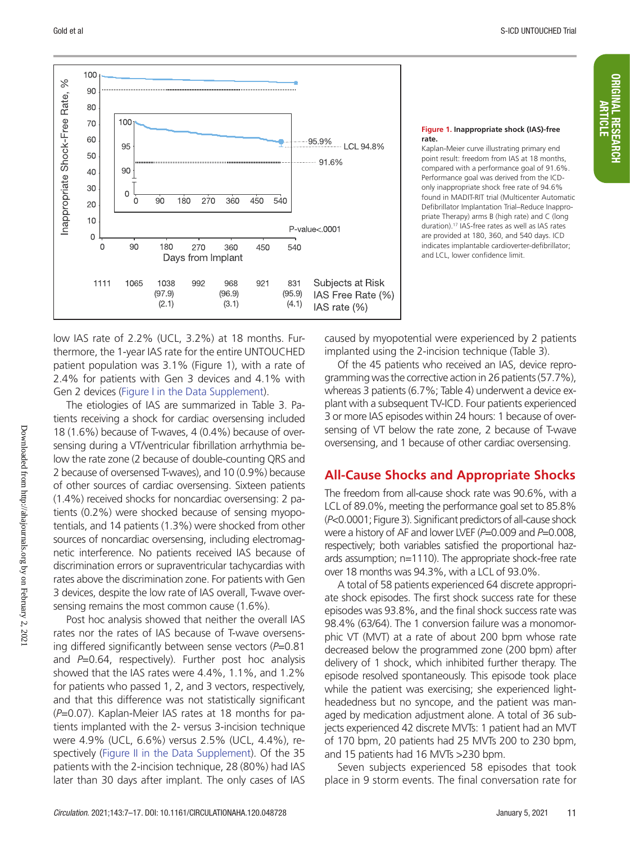

#### **Figure 1. Inappropriate shock (IAS)-free rate.**

Kaplan-Meier curve illustrating primary end point result: freedom from IAS at 18 months, compared with a performance goal of 91.6%. Performance goal was derived from the ICDonly inappropriate shock free rate of 94.6% found in MADIT-RIT trial (Multicenter Automatic Defibrillator Implantation Trial–Reduce Inappropriate Therapy) arms B (high rate) and C (long duration).17 IAS-free rates as well as IAS rates are provided at 180, 360, and 540 days. ICD indicates implantable cardioverter-defibrillator; and LCL, lower confidence limit.

low IAS rate of 2.2% (UCL, 3.2%) at 18 months. Furthermore, the 1-year IAS rate for the entire UNTOUCHED patient population was 3.1% (Figure 1), with a rate of 2.4% for patients with Gen 3 devices and 4.1% with Gen 2 devices (Figure I in the Data Supplement).

The etiologies of IAS are summarized in Table 3. Patients receiving a shock for cardiac oversensing included 18 (1.6%) because of T-waves, 4 (0.4%) because of oversensing during a VT/ventricular fibrillation arrhythmia below the rate zone (2 because of double-counting QRS and 2 because of oversensed T-waves), and 10 (0.9%) because of other sources of cardiac oversensing. Sixteen patients (1.4%) received shocks for noncardiac oversensing: 2 patients (0.2%) were shocked because of sensing myopotentials, and 14 patients (1.3%) were shocked from other sources of noncardiac oversensing, including electromagnetic interference. No patients received IAS because of discrimination errors or supraventricular tachycardias with rates above the discrimination zone. For patients with Gen 3 devices, despite the low rate of IAS overall, T-wave oversensing remains the most common cause (1.6%).

Post hoc analysis showed that neither the overall IAS rates nor the rates of IAS because of T-wave oversensing differed significantly between sense vectors (*P*=0.81 and *P*=0.64, respectively). Further post hoc analysis showed that the IAS rates were 4.4%, 1.1%, and 1.2% for patients who passed 1, 2, and 3 vectors, respectively, and that this difference was not statistically significant (*P*=0.07). Kaplan-Meier IAS rates at 18 months for patients implanted with the 2- versus 3-incision technique were 4.9% (UCL, 6.6%) versus 2.5% (UCL, 4.4%), respectively (Figure II in the Data Supplement). Of the 35 patients with the 2-incision technique, 28 (80%) had IAS later than 30 days after implant. The only cases of IAS caused by myopotential were experienced by 2 patients implanted using the 2-incision technique (Table 3).

Of the 45 patients who received an IAS, device reprogramming was the corrective action in 26 patients (57.7%), whereas 3 patients (6.7%; Table 4) underwent a device explant with a subsequent TV-ICD. Four patients experienced 3 or more IAS episodes within 24 hours: 1 because of oversensing of VT below the rate zone, 2 because of T-wave oversensing, and 1 because of other cardiac oversensing.

### **All-Cause Shocks and Appropriate Shocks**

The freedom from all-cause shock rate was 90.6%, with a LCL of 89.0%, meeting the performance goal set to 85.8% (*P*<0.0001; Figure 3). Significant predictors of all-cause shock were a history of AF and lower LVEF (*P*=0.009 and *P*=0.008, respectively; both variables satisfied the proportional hazards assumption; n=1110). The appropriate shock-free rate over 18 months was 94.3%, with a LCL of 93.0%.

A total of 58 patients experienced 64 discrete appropriate shock episodes. The first shock success rate for these episodes was 93.8%, and the final shock success rate was 98.4% (63/64). The 1 conversion failure was a monomorphic VT (MVT) at a rate of about 200 bpm whose rate decreased below the programmed zone (200 bpm) after delivery of 1 shock, which inhibited further therapy. The episode resolved spontaneously. This episode took place while the patient was exercising; she experienced lightheadedness but no syncope, and the patient was managed by medication adjustment alone. A total of 36 subjects experienced 42 discrete MVTs: 1 patient had an MVT of 170 bpm, 20 patients had 25 MVTs 200 to 230 bpm, and 15 patients had 16 MVTs >230 bpm.

Seven subjects experienced 58 episodes that took place in 9 storm events. The final conversation rate for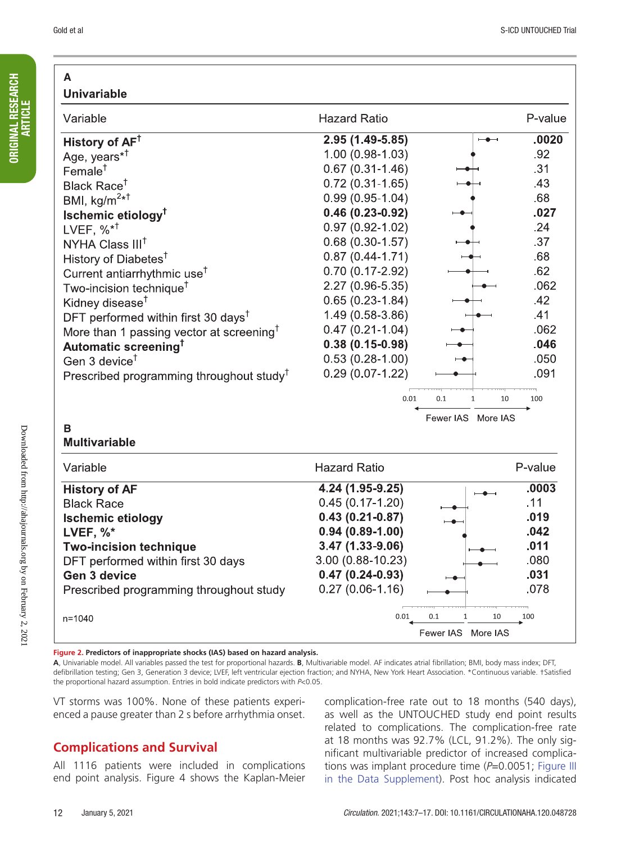P-value

 $.0020$ 

.92

 $.31$ 

.43

.68  $.027$ 

 $.24$ 

.37

.68

.62

 $.062$ 

 $.42$ 

 $.41$ 

.062

.046

.050

.091

100

P-value

 $.11$ 

.019

 $.042$ 

 $.011$ 

 $.080$ 

.031

.078

100

10

 $.0003$ 

10

#### **A Univariable** Variable **Hazard Ratio** 2.95 (1.49-5.85) History of  $AF^{\dagger}$  $\overline{\phantom{a}}$ Age, years\*<sup>†</sup>  $1.00(0.98 - 1.03)$  $0.67(0.31 - 1.46)$  $Female^{\dagger}$  $0.72(0.31 - 1.65)$ Black Race<sup>t</sup> BMI, kg/m<sup>2\*1</sup>  $0.99(0.95 - 1.04)$  $0.46(0.23 - 0.92)$ **Ischemic etiology<sup>T</sup>** LVEF,  $\%^{*^{\dagger}}$  $0.97(0.92 - 1.02)$  $0.68(0.30-1.57)$ NYHA Class III<sup>T</sup>  $0.87(0.44 - 1.71)$ History of Diabetes<sup>†</sup>  $0.70(0.17 - 2.92)$ Current antiarrhythmic use<sup>T</sup> 2.27 (0.96-5.35) Two-incision technique<sup>†</sup> Kidney disease<sup>†</sup>  $0.65(0.23 - 1.84)$  $1.49(0.58-3.86)$ DFT performed within first 30 days<sup>T</sup>  $0.47(0.21 - 1.04)$ More than 1 passing vector at screening<sup>T</sup>  $0.38(0.15 - 0.98)$ Automatic screening<sup>†</sup>  $0.53(0.28-1.00)$ Gen 3 device<sup> $†$ </sup> Prescribed programming throughout study<sup>t</sup>  $0.29(0.07 - 1.22)$  $0.01$  $0.1$  $\mathbf{1}$ Fewer IAS More IAS **B Multivariable Hazard Ratio** Variable 4.24 (1.95-9.25) **History of AF Black Race**  $0.45(0.17 - 1.20)$  $0.43(0.21-0.87)$ **Ischemic etiology**  $0.94(0.89 - 1.00)$ LVEF,  $\%^*$ 3.47 (1.33-9.06) **Two-incision technique** DFT performed within first 30 days 3.00 (0.88-10.23) **Gen 3 device**  $0.47(0.24-0.93)$ Prescribed programming throughout study  $0.27(0.06 - 1.16)$

ORIGINAL RESEARCH **ORIGINAL RESEARCH** ARTICLE

**Figure 2. Predictors of inappropriate shocks (IAS) based on hazard analysis.**

**A**, Univariable model. All variables passed the test for proportional hazards. **B**, Multivariable model. AF indicates atrial fibrillation; BMI, body mass index; DFT, defibrillation testing; Gen 3, Generation 3 device; LVEF, left ventricular ejection fraction; and NYHA, New York Heart Association. \*Continuous variable. †Satisfied the proportional hazard assumption. Entries in bold indicate predictors with *P*<0.05.

VT storms was 100%. None of these patients experienced a pause greater than 2 s before arrhythmia onset.

# **Complications and Survival**

All 1116 patients were included in complications end point analysis. Figure 4 shows the Kaplan-Meier

complication-free rate out to 18 months (540 days), as well as the UNTOUCHED study end point results related to complications. The complication-free rate at 18 months was 92.7% (LCL, 91.2%). The only significant multivariable predictor of increased complications was implant procedure time (*P*=0.0051; Figure III in the Data Supplement). Post hoc analysis indicated

Fewer IAS More IAS

 $0.01$ 

 $0.1$ 

 $n = 1040$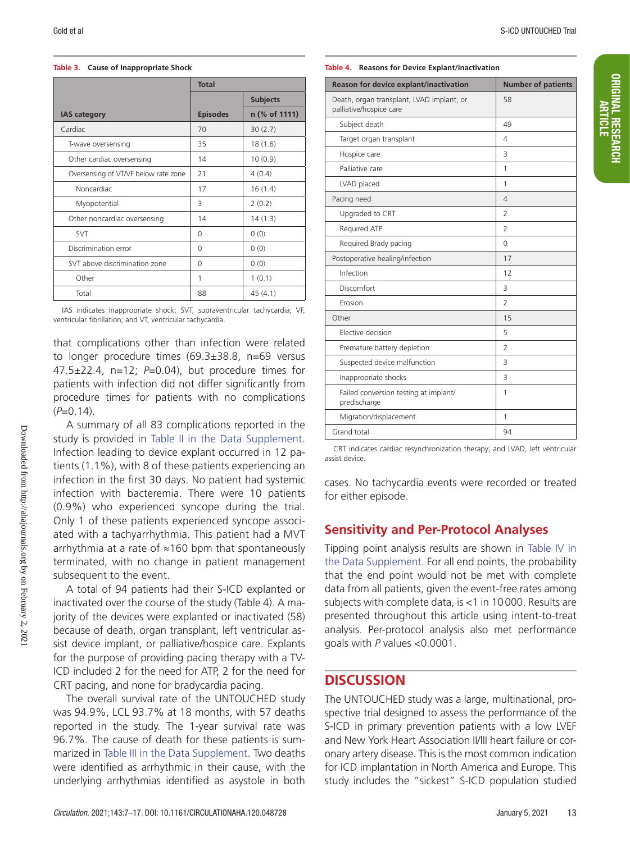### **Table 3. Cause of Inappropriate Shock**

|                                      | <b>Total</b>    |                 |
|--------------------------------------|-----------------|-----------------|
|                                      |                 | <b>Subjects</b> |
| <b>IAS category</b>                  | <b>Episodes</b> | n (% of 1111)   |
| Cardiac                              | 70              | 30(2.7)         |
| T-wave oversensing                   | 35              | 18(1.6)         |
| Other cardiac oversensing            | 14              | 10(0.9)         |
| Oversensing of VT/VF below rate zone | 21              | 4(0.4)          |
| Noncardiac                           | 17              | 16(1.4)         |
| Myopotential                         | 3               | 2(0.2)          |
| Other noncardiac oversensing         | 14              | 14(1.3)         |
| <b>SVT</b>                           | $\Omega$        | 0(0)            |
| Discrimination error                 | $\Omega$        | 0(0)            |
| SVT above discrimination zone        | $\Omega$        | 0(0)            |
| Other                                | 1               | 1(0.1)          |
| Total                                | 88              | 45(4.1)         |

IAS indicates inappropriate shock; SVT, supraventricular tachycardia; VF, ventricular fibrillation; and VT, ventricular tachycardia.

that complications other than infection were related to longer procedure times (69.3±38.8, n=69 versus 47.5±22.4, n=12; *P*=0.04), but procedure times for patients with infection did not differ significantly from procedure times for patients with no complications  $(P=0.14)$ .

A summary of all 83 complications reported in the study is provided in Table II in the Data Supplement. Infection leading to device explant occurred in 12 patients (1.1%), with 8 of these patients experiencing an infection in the first 30 days. No patient had systemic infection with bacteremia. There were 10 patients (0.9%) who experienced syncope during the trial. Only 1 of these patients experienced syncope associated with a tachyarrhythmia. This patient had a MVT arrhythmia at a rate of ≈160 bpm that spontaneously terminated, with no change in patient management subsequent to the event.

A total of 94 patients had their S-ICD explanted or inactivated over the course of the study (Table 4). A majority of the devices were explanted or inactivated (58) because of death, organ transplant, left ventricular assist device implant, or palliative/hospice care. Explants for the purpose of providing pacing therapy with a TV-ICD included 2 for the need for ATP, 2 for the need for CRT pacing, and none for bradycardia pacing.

The overall survival rate of the UNTOUCHED study was 94.9%, LCL 93.7% at 18 months, with 57 deaths reported in the study. The 1-year survival rate was 96.7%. The cause of death for these patients is summarized in Table III in the Data Supplement. Two deaths were identified as arrhythmic in their cause, with the underlying arrhythmias identified as asystole in both

ORIGINAL RESEARCH ARTICLE

### **Table 4. Reasons for Device Explant/Inactivation**

| Reason for device explant/inactivation                               | <b>Number of patients</b> |
|----------------------------------------------------------------------|---------------------------|
| Death, organ transplant, LVAD implant, or<br>palliative/hospice care | 58                        |
| Subject death                                                        | 49                        |
| Target organ transplant                                              | 4                         |
| Hospice care                                                         | 3                         |
| Palliative care                                                      | 1                         |
| LVAD placed                                                          | 1                         |
| Pacing need                                                          | 4                         |
| Upgraded to CRT                                                      | $\overline{2}$            |
| Required ATP                                                         | $\overline{2}$            |
| Required Brady pacing                                                | 0                         |
| Postoperative healing/infection                                      | 17                        |
| Infection                                                            | 12                        |
| Discomfort                                                           | 3                         |
| Erosion                                                              | $\overline{2}$            |
| Other                                                                | 15                        |
| Elective decision                                                    | 5                         |
| Premature battery depletion                                          | $\overline{2}$            |
| Suspected device malfunction                                         | 3                         |
| Inappropriate shocks                                                 | 3                         |
| Failed conversion testing at implant/<br>predischarge                | 1                         |
| Migration/displacement                                               | 1                         |
| Grand total                                                          | 94                        |

CRT indicates cardiac resynchronization therapy; and LVAD, left ventricular assist device.

cases. No tachycardia events were recorded or treated for either episode.

# **Sensitivity and Per-Protocol Analyses**

Tipping point analysis results are shown in Table IV in the Data Supplement. For all end points, the probability that the end point would not be met with complete data from all patients, given the event-free rates among subjects with complete data, is <1 in 10000. Results are presented throughout this article using intent-to-treat analysis. Per-protocol analysis also met performance goals with *P* values <0.0001.

# **DISCUSSION**

The UNTOUCHED study was a large, multinational, prospective trial designed to assess the performance of the S-ICD in primary prevention patients with a low LVEF and New York Heart Association II/III heart failure or coronary artery disease. This is the most common indication for ICD implantation in North America and Europe. This study includes the "sickest" S-ICD population studied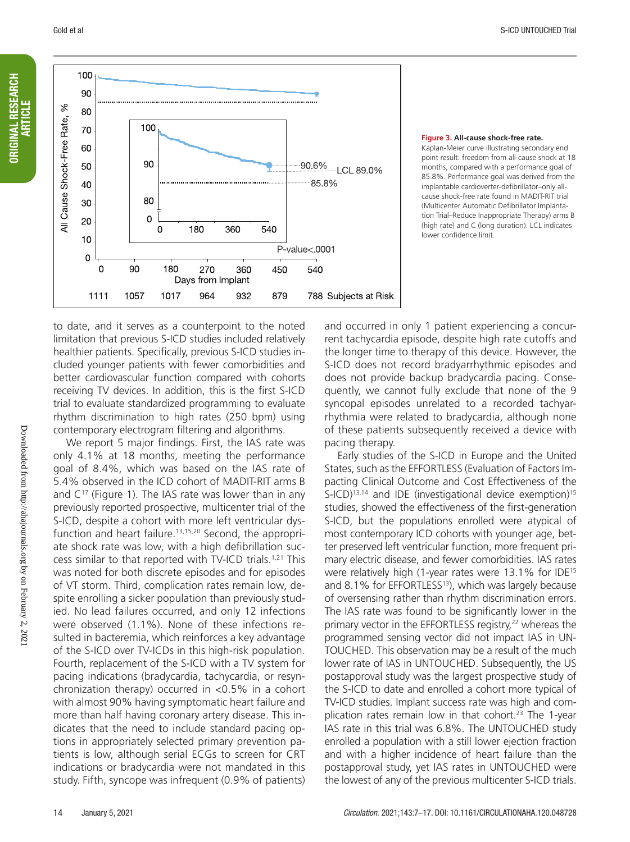to date, and it serves as a counterpoint to the noted limitation that previous S-ICD studies included relatively healthier patients. Specifically, previous S-ICD studies included younger patients with fewer comorbidities and better cardiovascular function compared with cohorts receiving TV devices. In addition, this is the first S-ICD trial to evaluate standardized programming to evaluate rhythm discrimination to high rates (250 bpm) using contemporary electrogram filtering and algorithms.

1017

1057

1111

We report 5 major findings. First, the IAS rate was only 4.1% at 18 months, meeting the performance goal of 8.4%, which was based on the IAS rate of 5.4% observed in the ICD cohort of MADIT-RIT arms B and  $C^{17}$  (Figure 1). The IAS rate was lower than in any previously reported prospective, multicenter trial of the S-ICD, despite a cohort with more left ventricular dysfunction and heart failure.<sup>13,15,20</sup> Second, the appropriate shock rate was low, with a high defibrillation success similar to that reported with TV-ICD trials.1,21 This was noted for both discrete episodes and for episodes of VT storm. Third, complication rates remain low, despite enrolling a sicker population than previously studied. No lead failures occurred, and only 12 infections were observed (1.1%). None of these infections resulted in bacteremia, which reinforces a key advantage of the S-ICD over TV-ICDs in this high-risk population. Fourth, replacement of the S-ICD with a TV system for pacing indications (bradycardia, tachycardia, or resynchronization therapy) occurred in <0.5% in a cohort with almost 90% having symptomatic heart failure and more than half having coronary artery disease. This indicates that the need to include standard pacing options in appropriately selected primary prevention patients is low, although serial ECGs to screen for CRT indications or bradycardia were not mandated in this study. Fifth, syncope was infrequent (0.9% of patients)

and occurred in only 1 patient experiencing a concurrent tachycardia episode, despite high rate cutoffs and the longer time to therapy of this device. However, the S-ICD does not record bradyarrhythmic episodes and does not provide backup bradycardia pacing. Consequently, we cannot fully exclude that none of the 9 syncopal episodes unrelated to a recorded tachyarrhythmia were related to bradycardia, although none of these patients subsequently received a device with pacing therapy.

Early studies of the S-ICD in Europe and the United States, such as the EFFORTLESS (Evaluation of Factors Impacting Clinical Outcome and Cost Effectiveness of the S-ICD)<sup>13,14</sup> and IDE (investigational device exemption)<sup>15</sup> studies, showed the effectiveness of the first-generation S-ICD, but the populations enrolled were atypical of most contemporary ICD cohorts with younger age, better preserved left ventricular function, more frequent primary electric disease, and fewer comorbidities. IAS rates were relatively high (1-year rates were 13.1% for IDE15 and 8.1% for EFFORTLESS<sup>13</sup>), which was largely because of oversensing rather than rhythm discrimination errors. The IAS rate was found to be significantly lower in the primary vector in the EFFORTLESS registry,<sup>22</sup> whereas the programmed sensing vector did not impact IAS in UN-TOUCHED. This observation may be a result of the much lower rate of IAS in UNTOUCHED. Subsequently, the US postapproval study was the largest prospective study of the S-ICD to date and enrolled a cohort more typical of TV-ICD studies. Implant success rate was high and complication rates remain low in that cohort.<sup>23</sup> The 1-year IAS rate in this trial was 6.8%. The UNTOUCHED study enrolled a population with a still lower ejection fraction and with a higher incidence of heart failure than the postapproval study, yet IAS rates in UNTOUCHED were the lowest of any of the previous multicenter S-ICD trials.

**Figure 3. All-cause shock-free rate.** Kaplan-Meier curve illustrating secondary end

point result: freedom from all-cause shock at 18 months, compared with a performance goal of 85.8%. Performance goal was derived from the implantable cardioverter-defibrillator–only allcause shock-free rate found in MADIT-RIT trial (Multicenter Automatic Defibrillator Implantation Trial–Reduce Inappropriate Therapy) arms B (high rate) and C (long duration). LCL indicates lower confidence limit.



964

932

879

788 Subjects at Risk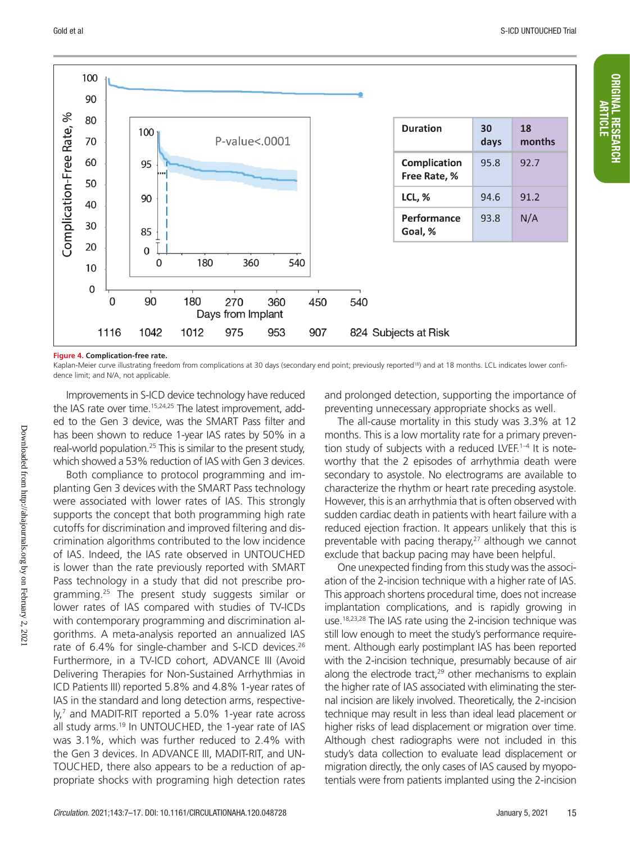

#### **Figure 4. Complication-free rate.**

Kaplan-Meier curve illustrating freedom from complications at 30 days (secondary end point; previously reported<sup>18</sup>) and at 18 months. LCL indicates lower confidence limit; and N/A, not applicable.

Improvements in S-ICD device technology have reduced the IAS rate over time.<sup>15,24,25</sup> The latest improvement, added to the Gen 3 device, was the SMART Pass filter and has been shown to reduce 1-year IAS rates by 50% in a real-world population.<sup>25</sup> This is similar to the present study, which showed a 53% reduction of IAS with Gen 3 devices.

Both compliance to protocol programming and implanting Gen 3 devices with the SMART Pass technology were associated with lower rates of IAS. This strongly supports the concept that both programming high rate cutoffs for discrimination and improved filtering and discrimination algorithms contributed to the low incidence of IAS. Indeed, the IAS rate observed in UNTOUCHED is lower than the rate previously reported with SMART Pass technology in a study that did not prescribe programming.25 The present study suggests similar or lower rates of IAS compared with studies of TV-ICDs with contemporary programming and discrimination algorithms. A meta-analysis reported an annualized IAS rate of 6.4% for single-chamber and S-ICD devices.<sup>26</sup> Furthermore, in a TV-ICD cohort, ADVANCE III (Avoid Delivering Therapies for Non-Sustained Arrhythmias in ICD Patients III) reported 5.8% and 4.8% 1-year rates of IAS in the standard and long detection arms, respectively,7 and MADIT-RIT reported a 5.0% 1-year rate across all study arms.19 In UNTOUCHED, the 1-year rate of IAS was 3.1%, which was further reduced to 2.4% with the Gen 3 devices. In ADVANCE III, MADIT-RIT, and UN-TOUCHED, there also appears to be a reduction of appropriate shocks with programing high detection rates

and prolonged detection, supporting the importance of preventing unnecessary appropriate shocks as well.

The all-cause mortality in this study was 3.3% at 12 months. This is a low mortality rate for a primary prevention study of subjects with a reduced LVEF.<sup>1-4</sup> It is noteworthy that the 2 episodes of arrhythmia death were secondary to asystole. No electrograms are available to characterize the rhythm or heart rate preceding asystole. However, this is an arrhythmia that is often observed with sudden cardiac death in patients with heart failure with a reduced ejection fraction. It appears unlikely that this is preventable with pacing therapy, $27$  although we cannot exclude that backup pacing may have been helpful.

One unexpected finding from this study was the association of the 2-incision technique with a higher rate of IAS. This approach shortens procedural time, does not increase implantation complications, and is rapidly growing in use.<sup>18,23,28</sup> The IAS rate using the 2-incision technique was still low enough to meet the study's performance requirement. Although early postimplant IAS has been reported with the 2-incision technique, presumably because of air along the electrode tract, $29$  other mechanisms to explain the higher rate of IAS associated with eliminating the sternal incision are likely involved. Theoretically, the 2-incision technique may result in less than ideal lead placement or higher risks of lead displacement or migration over time. Although chest radiographs were not included in this study's data collection to evaluate lead displacement or migration directly, the only cases of IAS caused by myopotentials were from patients implanted using the 2-incision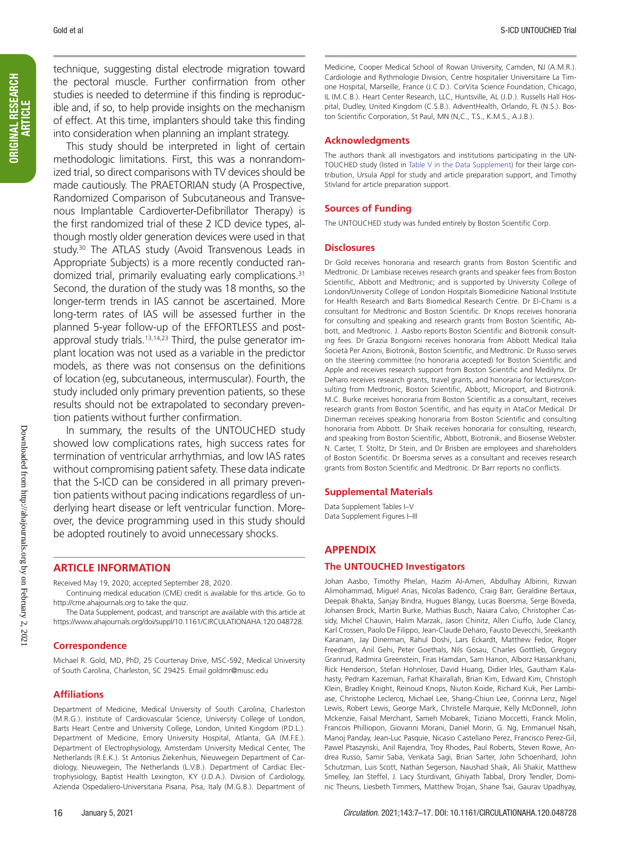technique, suggesting distal electrode migration toward the pectoral muscle. Further confirmation from other studies is needed to determine if this finding is reproducible and, if so, to help provide insights on the mechanism of effect. At this time, implanters should take this finding into consideration when planning an implant strategy.

This study should be interpreted in light of certain methodologic limitations. First, this was a nonrandomized trial, so direct comparisons with TV devices should be made cautiously. The PRAETORIAN study (A Prospective, Randomized Comparison of Subcutaneous and Transvenous Implantable Cardioverter-Defibrillator Therapy) is the first randomized trial of these 2 ICD device types, although mostly older generation devices were used in that study.30 The ATLAS study (Avoid Transvenous Leads in Appropriate Subjects) is a more recently conducted randomized trial, primarily evaluating early complications.31 Second, the duration of the study was 18 months, so the longer-term trends in IAS cannot be ascertained. More long-term rates of IAS will be assessed further in the planned 5-year follow-up of the EFFORTLESS and postapproval study trials.<sup>13,14,23</sup> Third, the pulse generator implant location was not used as a variable in the predictor models, as there was not consensus on the definitions of location (eg, subcutaneous, intermuscular). Fourth, the study included only primary prevention patients, so these results should not be extrapolated to secondary prevention patients without further confirmation.

In summary, the results of the UNTOUCHED study showed low complications rates, high success rates for termination of ventricular arrhythmias, and low IAS rates without compromising patient safety. These data indicate that the S-ICD can be considered in all primary prevention patients without pacing indications regardless of underlying heart disease or left ventricular function. Moreover, the device programming used in this study should be adopted routinely to avoid unnecessary shocks.

### **ARTICLE INFORMATION**

Received May 19, 2020; accepted September 28, 2020.

Continuing medical education (CME) credit is available for this article. Go to http://cme.ahajournals.org to take the quiz.

The Data Supplement, podcast, and transcript are available with this article at https://www.ahajournals.org/doi/suppl/10.1161/CIRCULATIONAHA.120.048728.

### **Correspondence**

Michael R. Gold, MD, PhD, 25 Courtenay Drive, MSC-592, Medical University of South Carolina, Charleston, SC 29425. Email [goldmr@musc.edu](mailto:goldmr@musc.edu)

### **Affiliations**

Department of Medicine, Medical University of South Carolina, Charleston (M.R.G.). Institute of Cardiovascular Science, University College of London, Barts Heart Centre and University College, London, United Kingdom (P.D.L.). Department of Medicine, Emory University Hospital, Atlanta, GA (M.F.E.). Department of Electrophysiology, Amsterdam University Medical Center, The Netherlands (R.E.K.). St Antonius Ziekenhuis, Nieuwegein Department of Cardiology, Nieuwegein, The Netherlands (L.V.B.). Department of Cardiac Electrophysiology, Baptist Health Lexington, KY (J.D.A.). Division of Cardiology, Azienda Ospedaliero-Universitaria Pisana, Pisa, Italy (M.G.B.). Department of

Medicine, Cooper Medical School of Rowan University, Camden, NJ (A.M.R.). Cardiologie and Rythmologie Division, Centre hospitalier Universitaire La Timone Hospital, Marseille, France (J.C.D.). CorVita Science Foundation, Chicago, IL (M.C.B.). Heart Center Research, LLC, Huntsville, AL (J.D.). Russells Hall Hospital, Dudley, United Kingdom (C.S.B.). AdventHealth, Orlando, FL (N.S.). Boston Scientific Corporation, St Paul, MN (N,C., T.S., K.M.S., A.J.B.).

### **Acknowledgments**

The authors thank all investigators and institutions participating in the UN-TOUCHED study (listed in Table V in the Data Supplement) for their large contribution, Ursula Appl for study and article preparation support, and Timothy Stivland for article preparation support.

### **Sources of Funding**

The UNTOUCHED study was funded entirely by Boston Scientific Corp.

### **Disclosures**

Dr Gold receives honoraria and research grants from Boston Scientific and Medtronic. Dr Lambiase receives research grants and speaker fees from Boston Scientific, Abbott and Medtronic; and is supported by University College of London/University College of London Hospitals Biomedicine National Institute for Health Research and Barts Biomedical Research Centre. Dr El-Chami is a consultant for Medtronic and Boston Scientific. Dr Knops receives honoraria for consulting and speaking and research grants from Boston Scientific, Abbott, and Medtronic. J. Aasbo reports Boston Scientific and Biotronik consulting fees. Dr Grazia Bongiorni receives honoraria from Abbott Medical Italia Società Per Azioni, Biotronik, Boston Scientific, and Medtronic. Dr Russo serves on the steering committee (no honoraria accepted) for Boston Scientific and Apple and receives research support from Boston Scientific and Medilynx. Dr Deharo receives research grants, travel grants, and honoraria for lectures/consulting from Medtronic, Boston Scientific, Abbott, Microport, and Biotronik. M.C. Burke receives honoraria from Boston Scientific as a consultant, receives research grants from Boston Scientific, and has equity in AtaCor Medical. Dr Dinerman receives speaking honoraria from Boston Scientific and consulting honoraria from Abbott. Dr Shaik receives honoraria for consulting, research, and speaking from Boston Scientific, Abbott, Biotronik, and Biosense Webster. N. Carter, T. Stoltz, Dr Stein, and Dr Brisben are employees and shareholders of Boston Scientific. Dr Boersma serves as a consultant and receives research grants from Boston Scientific and Medtronic. Dr Barr reports no conflicts.

### **Supplemental Materials**

Data Supplement Tables I–V Data Supplement Figures I–III

### **APPENDIX**

### **The UNTOUCHED Investigators**

Johan Aasbo, Timothy Phelan, Hazim Al-Ameri, Abdulhay Albirini, Rizwan Alimohammad, Miguel Arias, Nicolas Badenco, Craig Barr, Geraldine Bertaux, Deepak Bhakta, Sanjay Bindra, Hugues Blangy, Lucas Boersma, Serge Boveda, Johansen Brock, Martin Burke, Mathias Busch, Naiara Calvo, Christopher Cassidy, Michel Chauvin, Halim Marzak, Jason Chinitz, Allen Ciuffo, Jude Clancy, Karl Crossen, Paolo De Filippo, Jean-Claude Deharo, Fausto Devecchi, Sreekanth Karanam, Jay Dinerman, Rahul Doshi, Lars Eckardt, Matthew Fedor, Roger Freedman, Anil Gehi, Peter Goethals, Nils Gosau, Charles Gottlieb, Gregory Granrud, Radmira Greenstein, Firas Hamdan, Sam Hanon, Alborz Hassankhani, Rick Henderson, Stefan Hohnloser, David Huang, Didier Irles, Gautham Kalahasty, Pedram Kazemian, Farhat Khairallah, Brian Kim, Edward Kim, Christoph Klein, Bradley Knight, Reinoud Knops, Niuton Koide, Richard Kuk, Pier Lambiase, Christophe Leclercq, Michael Lee, Shang-Chiun Lee, Corinna Lenz, Nigel Lewis, Robert Lewis, George Mark, Christelle Marquie, Kelly McDonnell, John Mckenzie, Faisal Merchant, Sameh Mobarek, Tiziano Moccetti, Franck Molin, Francois Philliopon, Giovanni Morani, Daniel Morin, G. Ng, Emmanuel Nsah, Manoj Panday, Jean-Luc Pasquie, Nicasio Castellano Perez, Francisco Perez-Gil, Pawel Ptaszynski, Anil Rajendra, Troy Rhodes, Paul Roberts, Steven Rowe, Andrea Russo, Samir Saba, Venkata Sagi, Brian Sarter, John Schoenhard, John Schutzman, Luis Scott, Nathan Segerson, Naushad Shaik, Ali Shakir, Matthew Smelley, Jan Steffel, J. Lacy Sturdivant, Ghiyath Tabbal, Drory Tendler, Dominic Theuns, Liesbeth Timmers, Matthew Trojan, Shane Tsai, Gaurav Upadhyay,